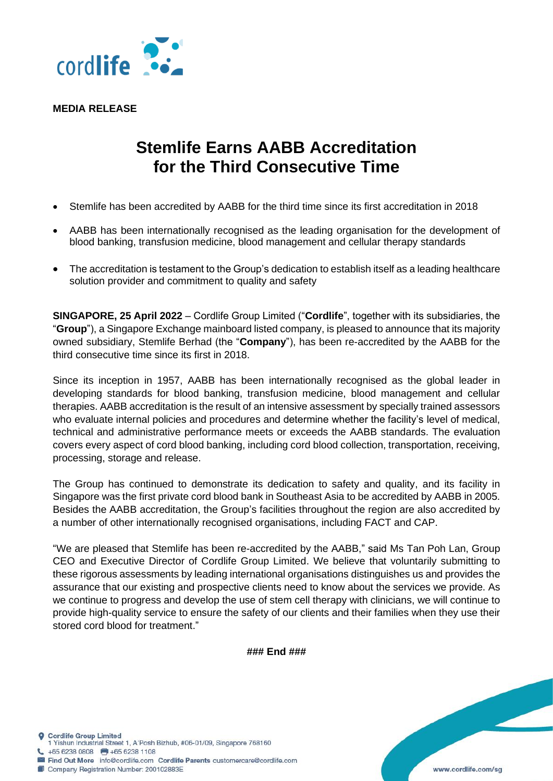

**MEDIA RELEASE**

## **Stemlife Earns AABB Accreditation for the Third Consecutive Time**

- Stemlife has been accredited by AABB for the third time since its first accreditation in 2018
- AABB has been internationally recognised as the leading organisation for the development of blood banking, transfusion medicine, blood management and cellular therapy standards
- The accreditation is testament to the Group's dedication to establish itself as a leading healthcare solution provider and commitment to quality and safety

**SINGAPORE, 25 April 2022** – Cordlife Group Limited ("**Cordlife**", together with its subsidiaries, the "**Group**"), a Singapore Exchange mainboard listed company, is pleased to announce that its majority owned subsidiary, Stemlife Berhad (the "**Company**"), has been re-accredited by the AABB for the third consecutive time since its first in 2018.

Since its inception in 1957, AABB has been internationally recognised as the global leader in developing standards for blood banking, transfusion medicine, blood management and cellular therapies. AABB accreditation is the result of an intensive assessment by specially trained assessors who evaluate internal policies and procedures and determine whether the facility's level of medical, technical and administrative performance meets or exceeds the AABB standards. The evaluation covers every aspect of cord blood banking, including cord blood collection, transportation, receiving, processing, storage and release.

The Group has continued to demonstrate its dedication to safety and quality, and its facility in Singapore was the first private cord blood bank in Southeast Asia to be accredited by AABB in 2005. Besides the AABB accreditation, the Group's facilities throughout the region are also accredited by a number of other internationally recognised organisations, including FACT and CAP.

"We are pleased that Stemlife has been re-accredited by the AABB," said Ms Tan Poh Lan, Group CEO and Executive Director of Cordlife Group Limited. We believe that voluntarily submitting to these rigorous assessments by leading international organisations distinguishes us and provides the assurance that our existing and prospective clients need to know about the services we provide. As we continue to progress and develop the use of stem cell therapy with clinicians, we will continue to provide high-quality service to ensure the safety of our clients and their families when they use their stored cord blood for treatment."

**### End ###**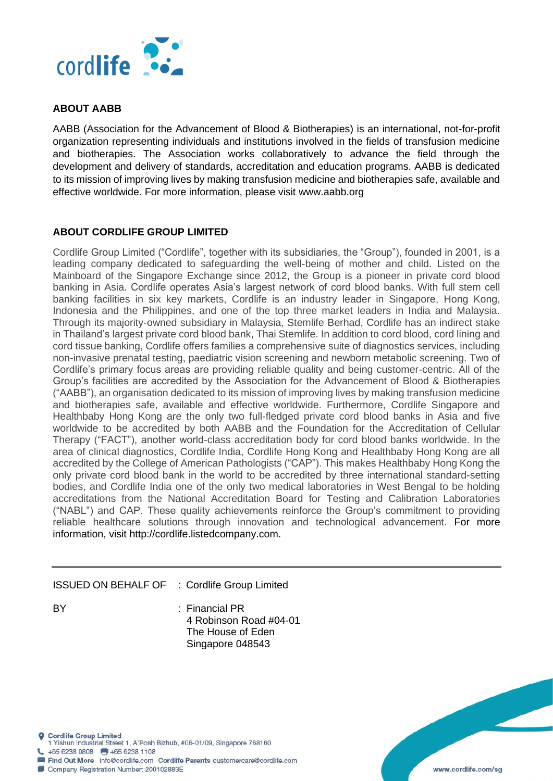

## **ABOUT AABB**

AABB (Association for the Advancement of Blood & Biotherapies) is an international, not-for-profit organization representing individuals and institutions involved in the fields of transfusion medicine and biotherapies. The Association works collaboratively to advance the field through the development and delivery of standards, accreditation and education programs. AABB is dedicated to its mission of improving lives by making transfusion medicine and biotherapies safe, available and effective worldwide. For more information, please visit www.aabb.org

## **ABOUT CORDLIFE GROUP LIMITED**

Cordlife Group Limited ("Cordlife", together with its subsidiaries, the "Group"), founded in 2001, is a leading company dedicated to safeguarding the well-being of mother and child. Listed on the Mainboard of the Singapore Exchange since 2012, the Group is a pioneer in private cord blood banking in Asia. Cordlife operates Asia's largest network of cord blood banks. With full stem cell banking facilities in six key markets, Cordlife is an industry leader in Singapore, Hong Kong, Indonesia and the Philippines, and one of the top three market leaders in India and Malaysia. Through its majority-owned subsidiary in Malaysia, Stemlife Berhad, Cordlife has an indirect stake in Thailand's largest private cord blood bank, Thai Stemlife. In addition to cord blood, cord lining and cord tissue banking, Cordlife offers families a comprehensive suite of diagnostics services, including non-invasive prenatal testing, paediatric vision screening and newborn metabolic screening. Two of Cordlife's primary focus areas are providing reliable quality and being customer-centric. All of the Group's facilities are accredited by the Association for the Advancement of Blood & Biotherapies ("AABB"), an organisation dedicated to its mission of improving lives by making transfusion medicine and biotherapies safe, available and effective worldwide. Furthermore, Cordlife Singapore and Healthbaby Hong Kong are the only two full-fledged private cord blood banks in Asia and five worldwide to be accredited by both AABB and the Foundation for the Accreditation of Cellular Therapy ("FACT"), another world-class accreditation body for cord blood banks worldwide. In the area of clinical diagnostics, Cordlife India, Cordlife Hong Kong and Healthbaby Hong Kong are all accredited by the College of American Pathologists ("CAP"). This makes Healthbaby Hong Kong the only private cord blood bank in the world to be accredited by three international standard-setting bodies, and Cordlife India one of the only two medical laboratories in West Bengal to be holding accreditations from the National Accreditation Board for Testing and Calibration Laboratories ("NABL") and CAP. These quality achievements reinforce the Group's commitment to providing reliable healthcare solutions through innovation and technological advancement. For more information, visit http://cordlife.listedcompany.com.

## ISSUED ON BEHALF OF : Cordlife Group Limited

BY : Financial PR 4 Robinson Road #04-01 The House of Eden Singapore 048543

**Q** Cordlife Group Limited 1 Yishun Industrial Street 1, A'Posh Bizhub, #06-01/09, Singapore 768160 +65 6238 0808 +65 6238 1108 Find Out More info@cordlife.com Cordlife Parents customercare@cordlife.com Company Registration Number: 200102883E